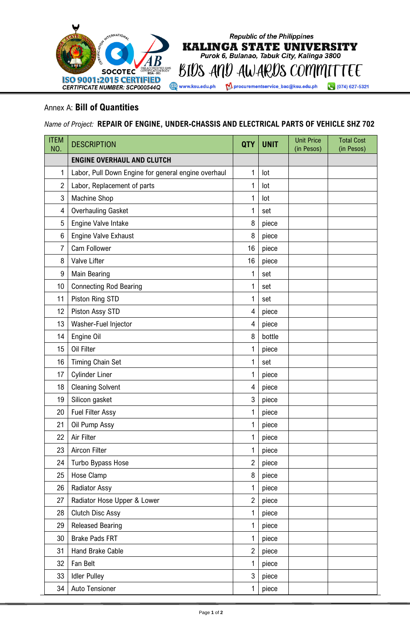

Annex A: **Bill of Quantities**

*Name of Project:* **REPAIR OF ENGINE, UNDER-CHASSIS AND ELECTRICAL PARTS OF VEHICLE SHZ 702**

**Republic of the Philippines KALINGA STATE UNIVERSITY** Purok 6, Bulanao, Tabuk City, Kalinga 3800

procurementservice\_bac@ksu.edu.ph

(074) 627-5321

| <b>ITEM</b><br>NO. | <b>DESCRIPTION</b>                                  | <b>QTY</b>     | <b>UNIT</b> | <b>Unit Price</b><br>(in Pesos) | <b>Total Cost</b><br>(in Pesos) |
|--------------------|-----------------------------------------------------|----------------|-------------|---------------------------------|---------------------------------|
|                    | <b>ENGINE OVERHAUL AND CLUTCH</b>                   |                |             |                                 |                                 |
| 1                  | Labor, Pull Down Engine for general engine overhaul | 1              | lot         |                                 |                                 |
| $\overline{2}$     | Labor, Replacement of parts                         | $\mathbf{1}$   | lot         |                                 |                                 |
| $\mathbf{3}$       | Machine Shop                                        | 1              | lot         |                                 |                                 |
| 4                  | <b>Overhauling Gasket</b>                           | 1              | set         |                                 |                                 |
| 5                  | Engine Valve Intake                                 | 8              | piece       |                                 |                                 |
| 6                  | Engine Valve Exhaust                                | 8              | piece       |                                 |                                 |
| $\overline{7}$     | Cam Follower                                        | 16             | piece       |                                 |                                 |
| 8                  | Valve Lifter                                        | 16             | piece       |                                 |                                 |
| 9                  | Main Bearing                                        | 1              | set         |                                 |                                 |
| 10                 | <b>Connecting Rod Bearing</b>                       | 1              | set         |                                 |                                 |
| 11                 | Piston Ring STD                                     | 1              | set         |                                 |                                 |
| 12                 | Piston Assy STD                                     | 4              | piece       |                                 |                                 |
| 13                 | Washer-Fuel Injector                                | 4              | piece       |                                 |                                 |
| 14                 | Engine Oil                                          | 8              | bottle      |                                 |                                 |
| 15                 | Oil Filter                                          | 1              | piece       |                                 |                                 |
| 16                 | <b>Timing Chain Set</b>                             | 1              | set         |                                 |                                 |
| 17                 | <b>Cylinder Liner</b>                               | 1              | piece       |                                 |                                 |
| 18                 | <b>Cleaning Solvent</b>                             | 4              | piece       |                                 |                                 |
| 19                 | Silicon gasket                                      | 3              | piece       |                                 |                                 |
| 20                 | <b>Fuel Filter Assy</b>                             | 1              | piece       |                                 |                                 |
| 21                 | Oil Pump Assy                                       | 1              | piece       |                                 |                                 |
| 22                 | Air Filter                                          | 1              | piece       |                                 |                                 |
| 23                 | Aircon Filter                                       | 1              | piece       |                                 |                                 |
| 24                 | Turbo Bypass Hose                                   | $\overline{2}$ | piece       |                                 |                                 |
| 25                 | Hose Clamp                                          | 8              | piece       |                                 |                                 |
| 26                 | <b>Radiator Assy</b>                                | 1              | piece       |                                 |                                 |
| 27                 | Radiator Hose Upper & Lower                         | $\overline{2}$ | piece       |                                 |                                 |
| 28                 | <b>Clutch Disc Assy</b>                             | 1              | piece       |                                 |                                 |
| 29                 | <b>Released Bearing</b>                             | 1              | piece       |                                 |                                 |
| 30                 | <b>Brake Pads FRT</b>                               | 1              | piece       |                                 |                                 |
| 31                 | Hand Brake Cable                                    | $\overline{2}$ | piece       |                                 |                                 |
| 32                 | Fan Belt                                            | 1              | piece       |                                 |                                 |
| 33                 | <b>Idler Pulley</b>                                 | 3              | piece       |                                 |                                 |
| 34                 | Auto Tensioner                                      | 1              | piece       |                                 |                                 |